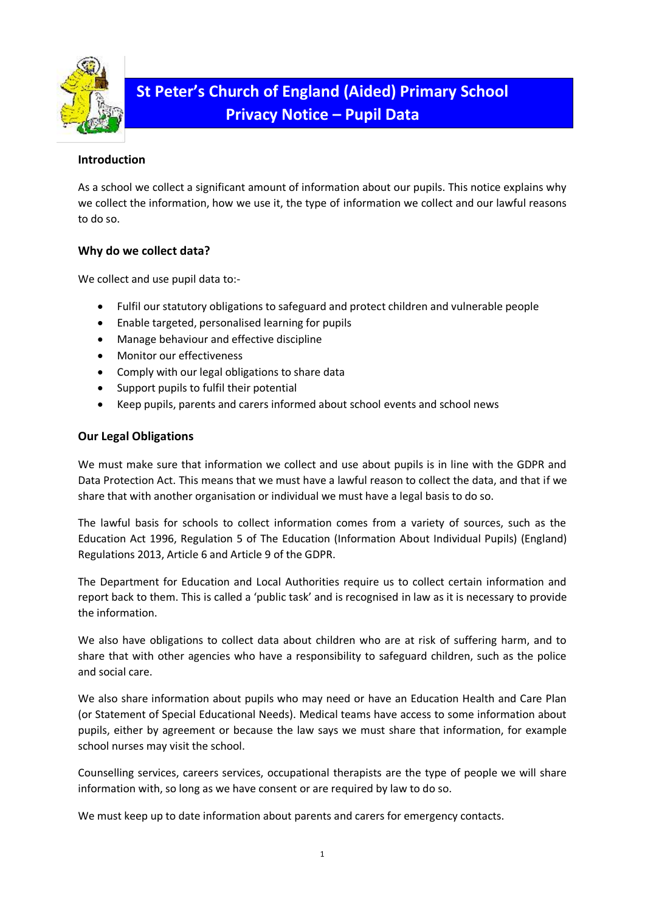

# **Introduction**

As a school we collect a significant amount of information about our pupils. This notice explains why we collect the information, how we use it, the type of information we collect and our lawful reasons to do so.

# **Why do we collect data?**

We collect and use pupil data to:-

- Fulfil our statutory obligations to safeguard and protect children and vulnerable people
- Enable targeted, personalised learning for pupils
- Manage behaviour and effective discipline
- Monitor our effectiveness
- Comply with our legal obligations to share data
- Support pupils to fulfil their potential
- Keep pupils, parents and carers informed about school events and school news

## **Our Legal Obligations**

We must make sure that information we collect and use about pupils is in line with the GDPR and Data Protection Act. This means that we must have a lawful reason to collect the data, and that if we share that with another organisation or individual we must have a legal basis to do so.

The lawful basis for schools to collect information comes from a variety of sources, such as the Education Act 1996, Regulation 5 of The Education (Information About Individual Pupils) (England) Regulations 2013, Article 6 and Article 9 of the GDPR.

The Department for Education and Local Authorities require us to collect certain information and report back to them. This is called a 'public task' and is recognised in law as it is necessary to provide the information.

We also have obligations to collect data about children who are at risk of suffering harm, and to share that with other agencies who have a responsibility to safeguard children, such as the police and social care.

We also share information about pupils who may need or have an Education Health and Care Plan (or Statement of Special Educational Needs). Medical teams have access to some information about pupils, either by agreement or because the law says we must share that information, for example school nurses may visit the school.

Counselling services, careers services, occupational therapists are the type of people we will share information with, so long as we have consent or are required by law to do so.

We must keep up to date information about parents and carers for emergency contacts.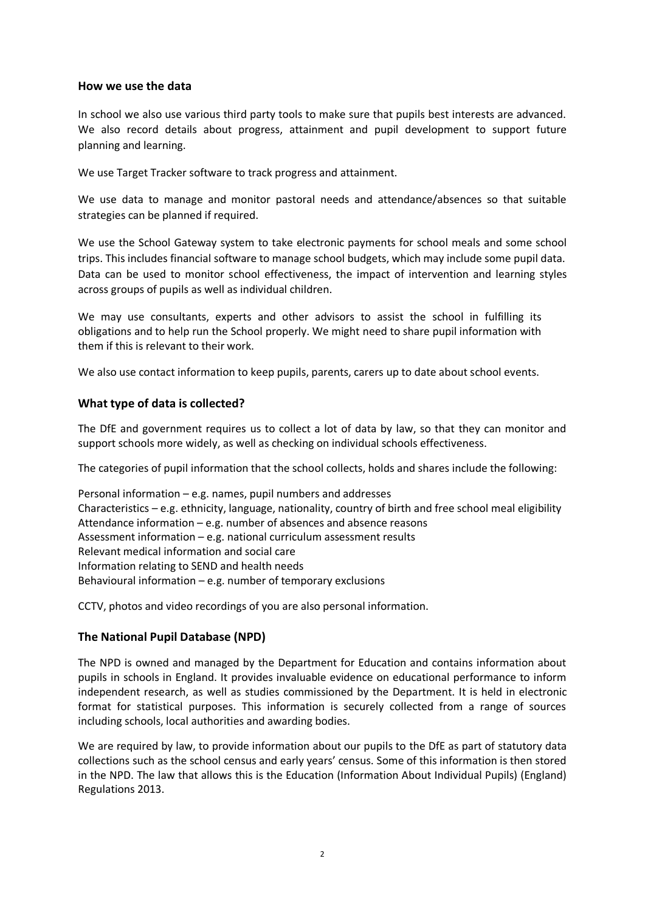#### **How we use the data**

In school we also use various third party tools to make sure that pupils best interests are advanced. We also record details about progress, attainment and pupil development to support future planning and learning.

We use Target Tracker software to track progress and attainment.

We use data to manage and monitor pastoral needs and attendance/absences so that suitable strategies can be planned if required.

We use the School Gateway system to take electronic payments for school meals and some school trips. This includes financial software to manage school budgets, which may include some pupil data. Data can be used to monitor school effectiveness, the impact of intervention and learning styles across groups of pupils as well as individual children.

We may use consultants, experts and other advisors to assist the school in fulfilling its obligations and to help run the School properly. We might need to share pupil information with them if this is relevant to their work.

We also use contact information to keep pupils, parents, carers up to date about school events.

### **What type of data is collected?**

The DfE and government requires us to collect a lot of data by law, so that they can monitor and support schools more widely, as well as checking on individual schools effectiveness.

The categories of pupil information that the school collects, holds and shares include the following:

Personal information – e.g. names, pupil numbers and addresses Characteristics – e.g. ethnicity, language, nationality, country of birth and free school meal eligibility Attendance information – e.g. number of absences and absence reasons Assessment information – e.g. national curriculum assessment results Relevant medical information and social care Information relating to SEND and health needs Behavioural information – e.g. number of temporary exclusions

CCTV, photos and video recordings of you are also personal information.

## **The National Pupil Database (NPD)**

The NPD is owned and managed by the Department for Education and contains information about pupils in schools in England. It provides invaluable evidence on educational performance to inform independent research, as well as studies commissioned by the Department. It is held in electronic format for statistical purposes. This information is securely collected from a range of sources including schools, local authorities and awarding bodies.

We are required by law, to provide information about our pupils to the DfE as part of statutory data collections such as the school census and early years' census. Some of this information is then stored in the NPD. The law that allows this is the Education (Information About Individual Pupils) (England) Regulations 2013.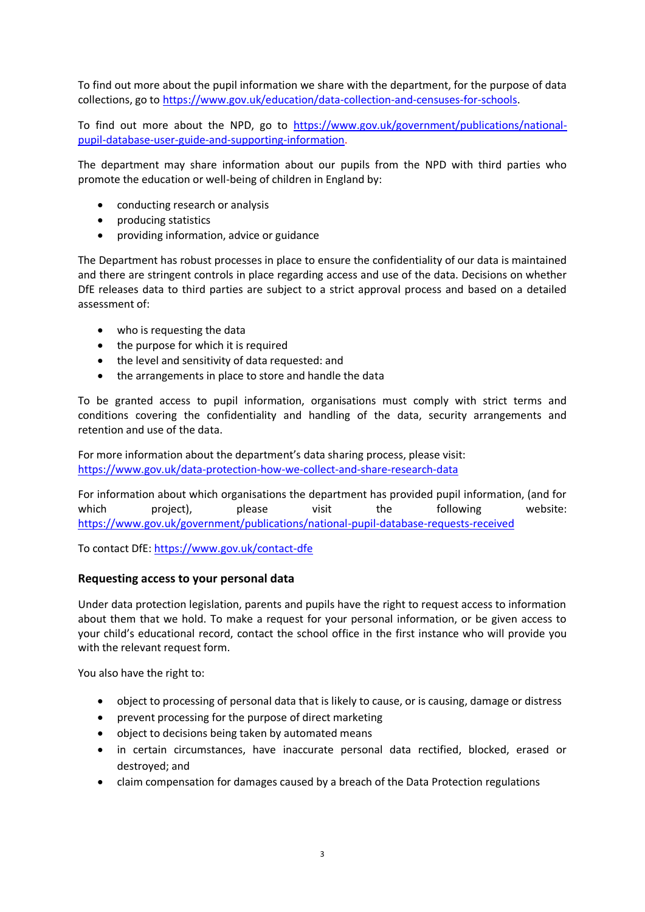To find out more about the pupil information we share with the department, for the purpose of data collections, go to [https://www.gov.uk/education/data-collection-and-censuses-for-schools.](https://www.gov.uk/education/data-collection-and-censuses-for-schools)

To find out more about the NPD, go to [https://www.gov.uk/government/publications/national](https://www.gov.uk/government/publications/national-pupil-database-user-guide-and-supporting-information)[pupil-database-user-guide-and-supporting-information.](https://www.gov.uk/government/publications/national-pupil-database-user-guide-and-supporting-information)

The department may share information about our pupils from the NPD with third parties who promote the education or well-being of children in England by:

- conducting research or analysis
- producing statistics
- providing information, advice or guidance

The Department has robust processes in place to ensure the confidentiality of our data is maintained and there are stringent controls in place regarding access and use of the data. Decisions on whether DfE releases data to third parties are subject to a strict approval process and based on a detailed assessment of:

- who is requesting the data
- the purpose for which it is required
- the level and sensitivity of data requested: and
- the arrangements in place to store and handle the data

To be granted access to pupil information, organisations must comply with strict terms and conditions covering the confidentiality and handling of the data, security arrangements and retention and use of the data.

For more information about the department's data sharing process, please visit: <https://www.gov.uk/data-protection-how-we-collect-and-share-research-data>

For information about which organisations the department has provided pupil information, (and for which project), please visit the following website: <https://www.gov.uk/government/publications/national-pupil-database-requests-received>

To contact DfE:<https://www.gov.uk/contact-dfe>

#### **Requesting access to your personal data**

Under data protection legislation, parents and pupils have the right to request access to information about them that we hold. To make a request for your personal information, or be given access to your child's educational record, contact the school office in the first instance who will provide you with the relevant request form.

You also have the right to:

- object to processing of personal data that is likely to cause, or is causing, damage or distress
- prevent processing for the purpose of direct marketing
- object to decisions being taken by automated means
- in certain circumstances, have inaccurate personal data rectified, blocked, erased or destroyed; and
- claim compensation for damages caused by a breach of the Data Protection regulations